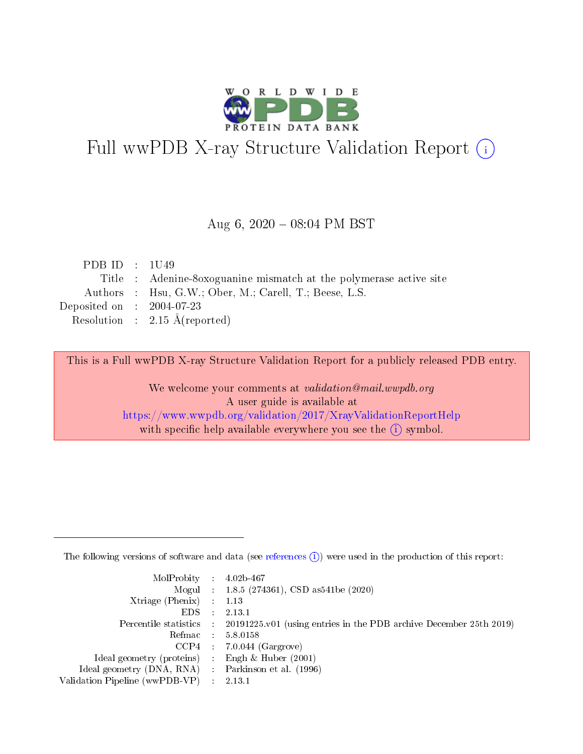

# Full wwPDB X-ray Structure Validation Report (i)

#### Aug 6,  $2020 - 08:04$  PM BST

| PDB ID : $1U49$                                                    |
|--------------------------------------------------------------------|
| Title : Adenine-8oxoguanine mismatch at the polymerase active site |
| Authors : Hsu, G.W.; Ober, M.; Carell, T.; Beese, L.S.             |
| Deposited on : $2004-07-23$                                        |
| Resolution : $2.15 \text{ Å}$ (reported)                           |
|                                                                    |

This is a Full wwPDB X-ray Structure Validation Report for a publicly released PDB entry.

We welcome your comments at validation@mail.wwpdb.org A user guide is available at <https://www.wwpdb.org/validation/2017/XrayValidationReportHelp> with specific help available everywhere you see the  $(i)$  symbol.

The following versions of software and data (see [references](https://www.wwpdb.org/validation/2017/XrayValidationReportHelp#references)  $(1)$ ) were used in the production of this report:

| $MolProbability$ 4.02b-467                          |                             |                                                                                            |
|-----------------------------------------------------|-----------------------------|--------------------------------------------------------------------------------------------|
|                                                     |                             | Mogul : $1.8.5$ (274361), CSD as 541be (2020)                                              |
| Xtriage (Phenix)                                    |                             | 1.13                                                                                       |
| EDS.                                                | $\mathcal{L}$               | 2.13.1                                                                                     |
|                                                     |                             | Percentile statistics : 20191225.v01 (using entries in the PDB archive December 25th 2019) |
|                                                     |                             | Refmac $5.8.0158$                                                                          |
| CCP4                                                |                             | $7.0.044$ (Gargrove)                                                                       |
| Ideal geometry (proteins)                           | $\mathcal{L}^{\mathcal{L}}$ | Engh $\&$ Huber (2001)                                                                     |
| Ideal geometry (DNA, RNA) : Parkinson et al. (1996) |                             |                                                                                            |
| Validation Pipeline (wwPDB-VP)                      | $\sim 10^{11}$ m $^{-1}$    | 2.13.1                                                                                     |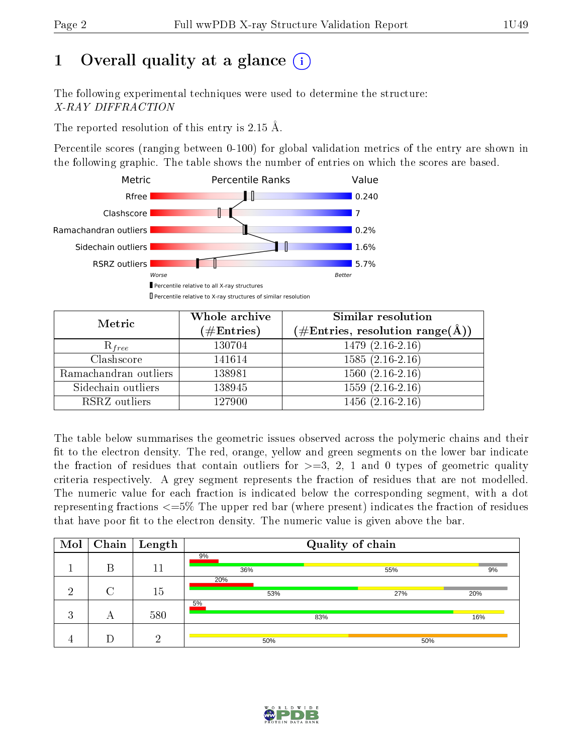# 1 [O](https://www.wwpdb.org/validation/2017/XrayValidationReportHelp#overall_quality)verall quality at a glance  $(i)$

The following experimental techniques were used to determine the structure: X-RAY DIFFRACTION

The reported resolution of this entry is 2.15 Å.

Percentile scores (ranging between 0-100) for global validation metrics of the entry are shown in the following graphic. The table shows the number of entries on which the scores are based.



| Metric                | Whole archive<br>$(\#\text{Entries})$ | Similar resolution<br>$(\#\text{Entries}, \text{resolution range}(\text{\AA}))$ |
|-----------------------|---------------------------------------|---------------------------------------------------------------------------------|
| $R_{free}$            | 130704                                | $1479(2.16-2.16)$                                                               |
| Clashscore            | 141614                                | $1585(2.16-2.16)$                                                               |
| Ramachandran outliers | 138981                                | $1560(2.16-2.16)$                                                               |
| Sidechain outliers    | 138945                                | $1559(2.16-2.16)$                                                               |
| RSRZ outliers         | 127900                                | $1456(2.16-2.16)$                                                               |

The table below summarises the geometric issues observed across the polymeric chains and their fit to the electron density. The red, orange, yellow and green segments on the lower bar indicate the fraction of residues that contain outliers for  $>=3, 2, 1$  and 0 types of geometric quality criteria respectively. A grey segment represents the fraction of residues that are not modelled. The numeric value for each fraction is indicated below the corresponding segment, with a dot representing fractions  $\epsilon=5\%$  The upper red bar (where present) indicates the fraction of residues that have poor fit to the electron density. The numeric value is given above the bar.

| Mol            |   | $\boxed{\text{Chain}}$ Length |            | Quality of chain |     |
|----------------|---|-------------------------------|------------|------------------|-----|
|                | В | 11                            | 9%<br>36%  | 55%              | 9%  |
| ച              |   | 15                            | 20%<br>53% | 27%              | 20% |
| 2<br>$\cdot$ 1 | А | 580                           | 5%<br>83%  |                  | 16% |
|                |   | ച                             | 50%        | 50%              |     |

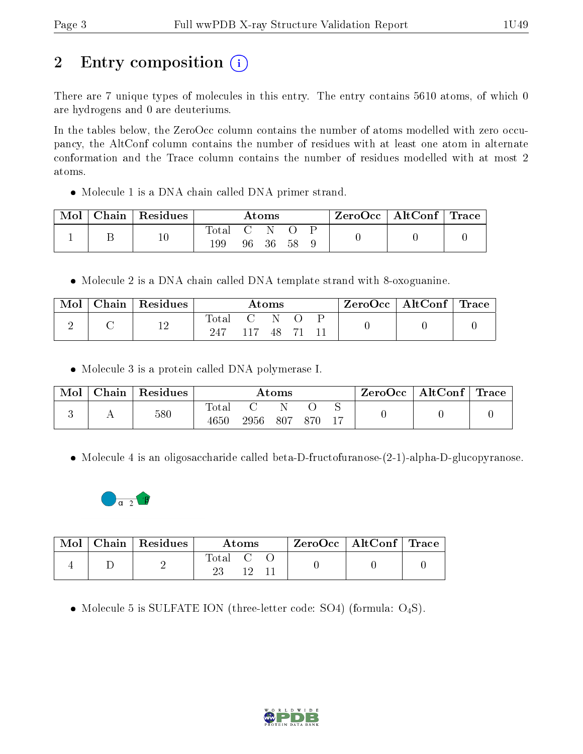# 2 Entry composition  $\left( \cdot \right)$

There are 7 unique types of molecules in this entry. The entry contains 5610 atoms, of which 0 are hydrogens and 0 are deuteriums.

In the tables below, the ZeroOcc column contains the number of atoms modelled with zero occupancy, the AltConf column contains the number of residues with at least one atom in alternate conformation and the Trace column contains the number of residues modelled with at most 2 atoms.

Molecule 1 is a DNA chain called DNA primer strand.

| Mol | $\mid$ Chain $\mid$ Residues |                |     | Atoms |     |  | ZeroOcc   AltConf   Trace |  |
|-----|------------------------------|----------------|-----|-------|-----|--|---------------------------|--|
|     | $10\,$                       | Total C<br>199 | 96. | -36   | -58 |  |                           |  |

• Molecule 2 is a DNA chain called DNA template strand with 8-oxoguanine.

| Mol | $\Box$ Chain $\Box$ | $\,^{\shortmid}$ Residues $\,$ |               | $\bm{\mathrm{Atoms}}$ |  | ZeroOcc | $\vert$ AltConf $\vert$ Trace |  |
|-----|---------------------|--------------------------------|---------------|-----------------------|--|---------|-------------------------------|--|
|     |                     | 1 ດ<br>⊥∠                      | Total<br>-247 | 48                    |  |         |                               |  |

• Molecule 3 is a protein called DNA polymerase I.

| Mol | Chain | Residues |                   |      | $\rm{Atoms}$ |     | ZeroOcc | $\mathbf{AltConf}$ | $^{\shortmid}$ Trace |
|-----|-------|----------|-------------------|------|--------------|-----|---------|--------------------|----------------------|
|     |       | 580      | Total<br>$4650\,$ | 2956 | 807          | 870 |         |                    |                      |

• Molecule 4 is an oligosaccharide called beta-D-fructofuranose-(2-1)-alpha-D-glucopyranose.



| $\text{Mol}$ | Chain   Residues |        | Atoms |  | ZeroOcc   AltConf   Trace |  |
|--------------|------------------|--------|-------|--|---------------------------|--|
|              |                  | l'otal |       |  |                           |  |

• Molecule 5 is SULFATE ION (three-letter code: SO4) (formula:  $O_4S$ ).

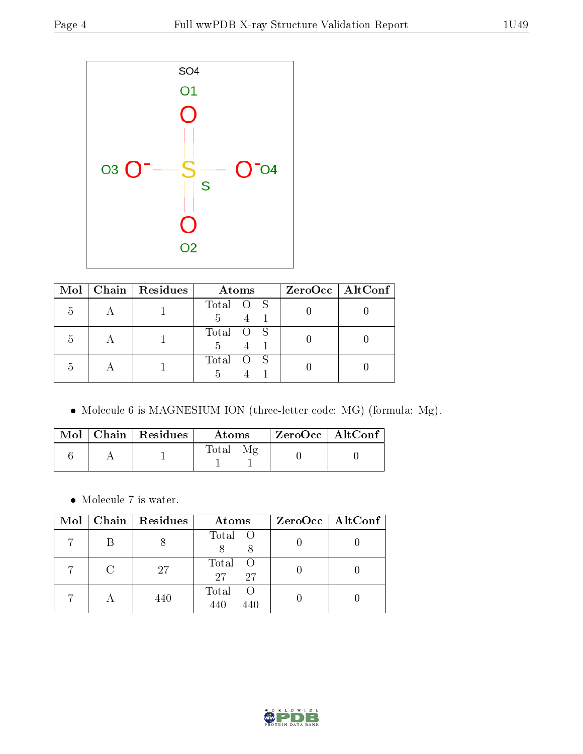

|   | Mol   Chain   Residues | Atoms           | $ZeroOcc$   AltConf |
|---|------------------------|-----------------|---------------------|
| h |                        | Total O S<br>5  |                     |
| h |                        | Total O S<br>.h |                     |
| h |                        | Total O S       |                     |

Molecule 6 is MAGNESIUM ION (three-letter code: MG) (formula: Mg).

|  | Mol   Chain   Residues | Atoms | $\mid$ ZeroOcc $\mid$ AltConf $\mid$ |  |
|--|------------------------|-------|--------------------------------------|--|
|  |                        | Total |                                      |  |

 $\bullet\,$  Molecule 7 is water.

|  | $Mol$   Chain   Residues | Atoms                          | $ZeroOcc \   \ AltConf \  $ |
|--|--------------------------|--------------------------------|-----------------------------|
|  |                          | Total O                        |                             |
|  | 27                       | Total<br>$\circ$ O<br>27<br>27 |                             |
|  | 440                      | Total<br>440<br>440            |                             |

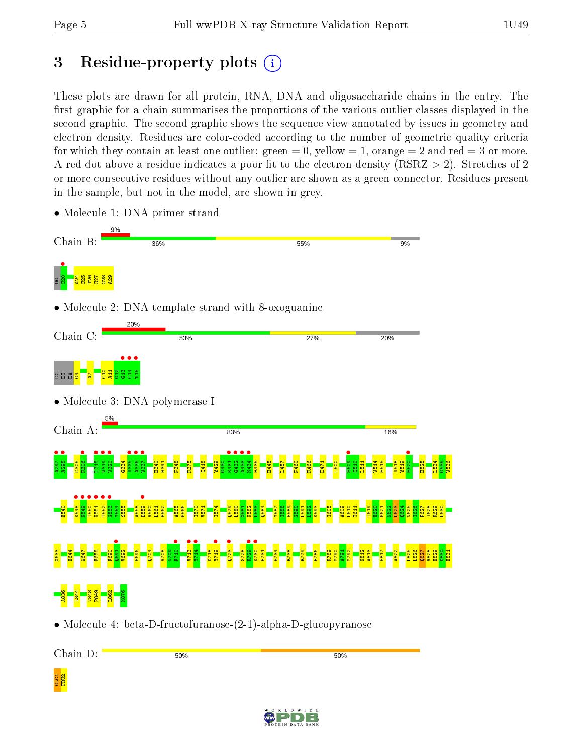# 3 Residue-property plots  $(i)$

These plots are drawn for all protein, RNA, DNA and oligosaccharide chains in the entry. The first graphic for a chain summarises the proportions of the various outlier classes displayed in the second graphic. The second graphic shows the sequence view annotated by issues in geometry and electron density. Residues are color-coded according to the number of geometric quality criteria for which they contain at least one outlier: green  $= 0$ , yellow  $= 1$ , orange  $= 2$  and red  $= 3$  or more. A red dot above a residue indicates a poor fit to the electron density ( $\text{RSRZ} > 2$ ). Stretches of 2 or more consecutive residues without any outlier are shown as a green connector. Residues present in the sample, but not in the model, are shown in grey.



• Molecule 1: DNA primer strand

• Molecule 4: beta-D-fructofuranose-(2-1)-alpha-D-glucopyranose

Chain D:

GLC1<br>FRU2

50%

50%

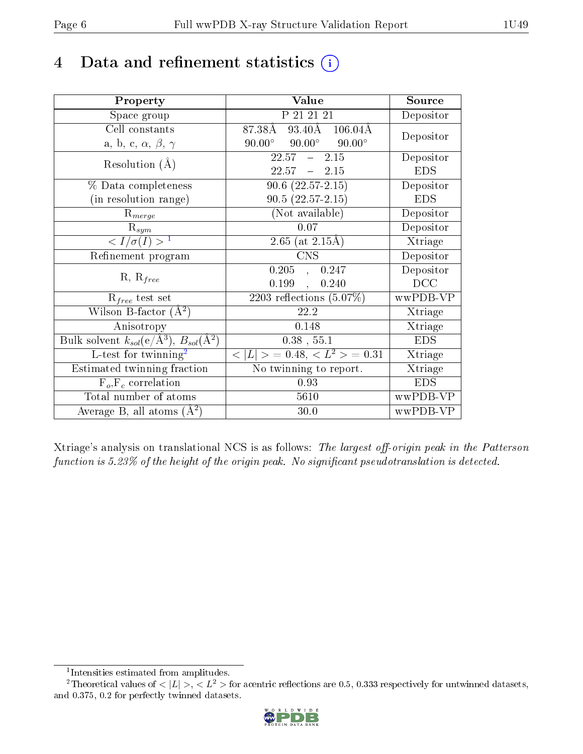## 4 Data and refinement statistics  $(i)$

| Property                                                         | Value                                            | Source     |
|------------------------------------------------------------------|--------------------------------------------------|------------|
| Space group                                                      | P 21 21 21                                       | Depositor  |
| Cell constants                                                   | 87.38Å 93.40Å 106.04Å                            | Depositor  |
| a, b, c, $\alpha$ , $\beta$ , $\gamma$                           | $90.00^{\circ}$ $90.00^{\circ}$<br>$90.00^\circ$ |            |
| Resolution $(A)$                                                 | $-2.15$<br>22.57                                 | Depositor  |
|                                                                  | $22.57 - 2.15$                                   | <b>EDS</b> |
| % Data completeness                                              | $90.6(22.57-2.15)$                               | Depositor  |
| (in resolution range)                                            | $90.5(22.57-2.15)$                               | <b>EDS</b> |
| $R_{merge}$                                                      | (Not available)                                  | Depositor  |
| $\mathrm{R}_{sym}$                                               | 0.07                                             | Depositor  |
| $\langle I/\sigma(I) \rangle^{-1}$                               | $2.65$ (at $2.15\text{\AA})$                     | Xtriage    |
| Refinement program                                               | $\overline{\text{CNS}}$                          | Depositor  |
|                                                                  | 0.205<br>0.247<br>$\overline{a}$                 | Depositor  |
| $R, R_{free}$                                                    | 0.199<br>0.240<br>$\frac{1}{2}$                  | DCC        |
| $R_{free}$ test set                                              | 2203 reflections $(5.07\%)$                      | wwPDB-VP   |
| Wilson B-factor $(A^2)$                                          | 22.2                                             | Xtriage    |
| Anisotropy                                                       | 0.148                                            | Xtriage    |
| Bulk solvent $k_{sol}(\text{e}/\text{A}^3), B_{sol}(\text{A}^2)$ | $0.38$ , $55.1$                                  | <b>EDS</b> |
| L-test for $\mathrm{twinning}^2$                                 | $< L >$ = 0.48, $< L^2 >$ = 0.31                 | Xtriage    |
| Estimated twinning fraction                                      | No twinning to report.                           | Xtriage    |
| $F_o, F_c$ correlation                                           | 0.93                                             | <b>EDS</b> |
| Total number of atoms                                            | 5610                                             | wwPDB-VP   |
| Average B, all atoms $(A^2)$                                     | 30.0                                             | wwPDB-VP   |

Xtriage's analysis on translational NCS is as follows: The largest off-origin peak in the Patterson function is  $5.23\%$  of the height of the origin peak. No significant pseudotranslation is detected.

<sup>&</sup>lt;sup>2</sup>Theoretical values of  $\langle |L| \rangle$ ,  $\langle L^2 \rangle$  for acentric reflections are 0.5, 0.333 respectively for untwinned datasets, and 0.375, 0.2 for perfectly twinned datasets.



<span id="page-5-1"></span><span id="page-5-0"></span><sup>1</sup> Intensities estimated from amplitudes.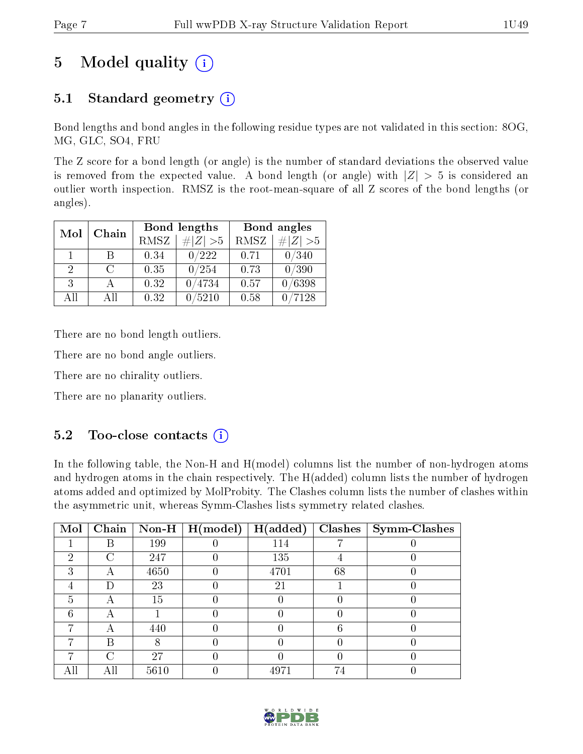# 5 Model quality  $(i)$

## 5.1 Standard geometry  $(i)$

Bond lengths and bond angles in the following residue types are not validated in this section: 8OG, MG, GLC, SO4, FRU

The Z score for a bond length (or angle) is the number of standard deviations the observed value is removed from the expected value. A bond length (or angle) with  $|Z| > 5$  is considered an outlier worth inspection. RMSZ is the root-mean-square of all Z scores of the bond lengths (or angles).

| Mol           |        |             | Bond lengths                 | Bond angles |             |  |
|---------------|--------|-------------|------------------------------|-------------|-------------|--|
| Chain         |        | <b>RMSZ</b> | $\vert \# \vert Z \vert > 5$ | RMSZ        | # $ Z  > 5$ |  |
| 1.            | В      | 0.34        | 0/222                        | 0.71        | 0/340       |  |
| $\mathcal{D}$ | $\cap$ | 0.35        | 0/254                        | 0.73        | 0/390       |  |
| 3             |        | 0.32        | 0/4734                       | 0.57        | 0/6398      |  |
| All           | ΑĦ     | 0.32        | 5210                         | 0.58        | 7128        |  |

There are no bond length outliers.

There are no bond angle outliers.

There are no chirality outliers.

There are no planarity outliers.

### 5.2 Too-close contacts  $(i)$

In the following table, the Non-H and H(model) columns list the number of non-hydrogen atoms and hydrogen atoms in the chain respectively. The H(added) column lists the number of hydrogen atoms added and optimized by MolProbity. The Clashes column lists the number of clashes within the asymmetric unit, whereas Symm-Clashes lists symmetry related clashes.

| Mol           |   |      | Chain   Non-H   $H (model)$ | H(added) | Clashes | Symm-Clashes |
|---------------|---|------|-----------------------------|----------|---------|--------------|
|               |   | 199  |                             | 114      |         |              |
| 2             | C | 247  |                             | 135      |         |              |
| 3             |   | 4650 |                             | 4701     | 68      |              |
|               |   | 23   |                             | 21       |         |              |
| $\frac{5}{2}$ |   | 15   |                             |          |         |              |
|               |   |      |                             |          |         |              |
|               |   | 440  |                             |          |         |              |
|               | R |      |                             |          |         |              |
|               |   | 27   |                             |          |         |              |
|               |   | 5610 |                             | 4971     | 74      |              |

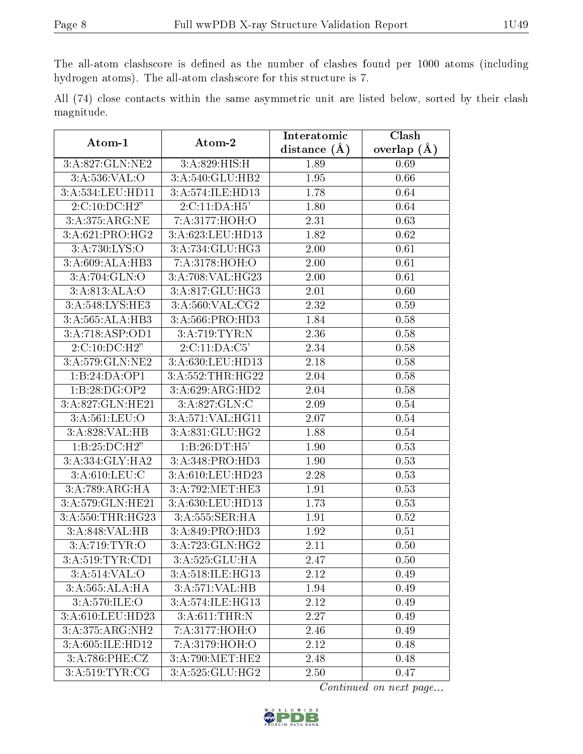The all-atom clashscore is defined as the number of clashes found per 1000 atoms (including hydrogen atoms). The all-atom clashscore for this structure is 7.

All (74) close contacts within the same asymmetric unit are listed below, sorted by their clash magnitude.

| Atom-1                       | Atom-2                           | Interatomic    | Clash             |
|------------------------------|----------------------------------|----------------|-------------------|
|                              |                                  | distance $(A)$ | overlap $(A)$     |
| 3:A:827:GLN:NE2              | 3:A:829:HIS:H                    | 1.89           | 0.69              |
| 3: A:536: VAL:O              | 3:A:540:GLU:HB2                  | 1.95           | 0.66              |
| 3:A:534:LEU:HD11             | 3:A:574:ILE:HD13                 | 1.78           | 0.64              |
| 2:C:10:DC:H2"                | 2:C:11:DA:H5'                    | 1.80           | 0.64              |
| 3:A:375:ARG:NE               | 7:A:3177:HOH:O                   | 2.31           | 0.63              |
| 3:A:621:PRO:HG2              | 3:A:623:LEU:HD13                 | 1.82           | 0.62              |
| 3:A:730:LYS:O                | 3:A:734:GLU:HG3                  | 2.00           | 0.61              |
| 3:A:609:ALA:HB3              | 7:A:3178:HOH:O                   | 2.00           | 0.61              |
| 3:A:704:GLN:O                | 3:A:708:VAL:HG23                 | 2.00           | 0.61              |
| 3:A:813:ALA:O                | 3:A:817:GLU:HG3                  | 2.01           | 0.60              |
| $3:A:548:LY\overline{S:HE3}$ | 3:A:560:VAL:CG2                  | 2.32           | 0.59              |
| $3:A:565:ALA:\overline{HB3}$ | 3:A:566:PRO:HD3                  | 1.84           | 0.58              |
| 3:A:718:ASP:OD1              | 3:A:719:TYR:N                    | 2.36           | 0.58              |
| $2:C:10:DC:H2y$              | 2:C:11:DA:C5'                    | 2.34           | 0.58              |
| 3:A:579:GLN:NE2              | 3:A:630:LEU:HD13                 | 2.18           | 0.58              |
| 1:B:24:DA:OP1                | 3:A:552:THR:HG22                 | 2.04           | 0.58              |
| 1:B:28:DG:OP2                | 3:A:629:ARG:HD2                  | 2.04           | 0.58              |
| 3:A:827:GLN:HE21             | 3: A:827: GLN: C                 | 2.09           | $0.54\,$          |
| 3: A:561:LEU:O               | 3:A:571:VAL:HG11                 | 2.07           | $0.54\,$          |
| 3:A:828:VAL:HB               | 3:A:831:GLU:HG2                  | 1.88           | $0.54\,$          |
| 1:B:25:DC:H2"                | 1:B:26:DT:H5'                    | 1.90           | 0.53              |
| 3:A:334:GLY:HA2              | 3:A:348:PRO:HD3                  | 1.90           | 0.53              |
| 3: A:610: LEU: C             | 3:A:610:LEU:HD23                 | 2.28           | 0.53              |
| 3:A:789:ARG:HA               | $3: A:792: \overline{MET} : HE3$ | 1.91           | 0.53              |
| 3:A:579:GLN:HE21             | 3:A:630:LEU:HD13                 | 1.73           | 0.53              |
| 3:A:550:THR:HG23             | 3:A:555:SER:HA                   | 1.91           | $\overline{0.52}$ |
| 3:A:848:VAL:HB               | 3:A:849:PRO:HD3                  | 1.92           | 0.51              |
| 3:A:719:TYR:O                | 3:A:723:GLN:HG2                  | 2.11           | 0.50              |
| 3:A:519:TYR:CD1              | 3: A:525: GLU: HA                | 2.47           | 0.50              |
| 3:A:514:VAL:O                | 3:A:518:ILE:HG13                 | 2.12           | 0.49              |
| $3:A:565:ALA:H\overline{A}$  | 3:A:571:VAL:HB                   | 1.94           | 0.49              |
| 3: A:570: ILE: O             | 3:A:574:ILE:HG13                 | 2.12           | 0.49              |
| 3:A:610:LEU:HD23             | 3:A:611:THR:N                    | 2.27           | 0.49              |
| 3:A:375:ARG:NH2              | 7:A:3177:HOH:O                   | 2.46           | 0.49              |
| 3:A:605:ILE:HD12             | 7:A:3179:HOH:O                   | 2.12           | 0.48              |
| 3:A:786:PHE:CZ               | 3:A:790:MET:HE2                  | 2.48           | 0.48              |
| 3:A:519:TTTR:CG              | 3:A:525:GLU:HG2                  | 2.50           | 0.47              |

Continued on next page...

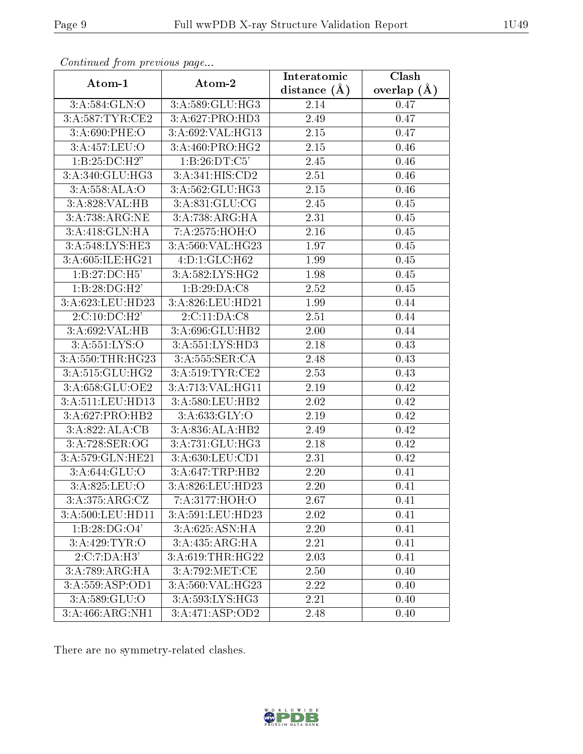| Conninuou from previous page |                            | Interatomic    | $\overline{\text{Clash}}$ |
|------------------------------|----------------------------|----------------|---------------------------|
| Atom-1                       | Atom-2                     | distance $(A)$ | overlap $(A)$             |
| 3:A:584:GLN:O                | 3:A:589:GLU:HG3            | 2.14           | 0.47                      |
| 3:A:587:TYR:CE2              | 3:A:627:PRO:HD3            | 2.49           | 0.47                      |
| 3:A:690:PHE:O                | 3:A:692:VAL:HG13           | 2.15           | 0.47                      |
| 3:A:457:LEU:O                | 3:A:460:PRO:HG2            | 2.15           | 0.46                      |
| 1:B:25:DC:H2"                | 1:B:26:DT:C5'              | 2.45           | 0.46                      |
| $3:A:340:GLU:\overline{HG3}$ | 3:A:341:HIS:CD2            | 2.51           | 0.46                      |
| 3:A:558:ALA:O                | 3:A:562:GLU:HG3            | 2.15           | 0.46                      |
| 3:A:828:VAL:HB               | 3:A:831:GLU:CG             | 2.45           | 0.45                      |
| 3:A:738:ARG:NE               | 3:A:738:ARG:HA             | 2.31           | 0.45                      |
| 3:A:418:GLN:HA               | 7:A:2575:HOH:O             | 2.16           | 0.45                      |
| 3:A:548:LYS:HE3              | 3:A:560:VAL:HG23           | 1.97           | 0.45                      |
| 3:A:605:ILE:HG21             | $4:D:1:G\overline{LC:H62}$ | 1.99           | 0.45                      |
| 1:B:27:DC:H5'                | 3:A:582:LYS:HG2            | 1.98           | 0.45                      |
| 1:B:28:DG:H2'                | 1:B:29:DA:C8               | 2.52           | 0.45                      |
| 3:A:623:LEU:HD23             | 3:A:826:LEU:HD21           | 1.99           | 0.44                      |
| 2:C:10:DC:H2'                | 2:C:11:DA:CS               | 2.51           | 0.44                      |
| 3:A:692:VAL:HB               | 3:A:696:GLU:HB2            | 2.00           | 0.44                      |
| 3:A:551:LYS:O                | 3:A:551:LYS:HD3            | 2.18           | 0.43                      |
| 3:A:550:THR:HG23             | 3:A:555:SER:CA             | 2.48           | 0.43                      |
| 3:A:515:GLU:HG2              | 3:A:519:TYR:CE2            | 2.53           | 0.43                      |
| 3:A:658:GLU:OE2              | 3: A:713: VAL:HGI1         | 2.19           | 0.42                      |
| 3:A:511:LEU:HD13             | 3:A:580:LEU:HB2            | 2.02           | 0.42                      |
| 3:A:627:PRO:HB2              | 3: A:633: GLY:O            | 2.19           | 0.42                      |
| 3: A:822: ALA: CB            | 3:A:836:ALA:HB2            | 2.49           | 0.42                      |
| 3:A:728:SER:OG               | 3:A:731:GLU:HG3            | 2.18           | 0.42                      |
| 3:A:579:GLN:HE21             | 3: A:630: LEU: CD1         | 2.31           | 0.42                      |
| 3:A:644:GLU:O                | 3:A:647:TRP:HB2            | 2.20           | 0.41                      |
| 3:A:825:LEU:O                | 3:A:826:LEU:HD23           | 2.20           | 0.41                      |
| 3:A:375:ARG:CZ               | 7:A:3177:HOH:O             | 2.67           | 0.41                      |
| 3:A:500:LEU:HD11             | 3:A:591:LEU:HD23           | 2.02           | 0.41                      |
| 1:B:28:DG:O4'                | 3:A:625:ASN:HA             | 2.20           | 0.41                      |
| 3:A:429:TYR:O                | 3:A:435:ARG:HA             | 2.21           | 0.41                      |
| 2:C:7:DA:H3'                 | 3:A:619:THR:HG22           | 2.03           | 0.41                      |
| 3:A:789:ARG:HA               | 3:A:792:MET:CE             | 2.50           | 0.40                      |
| 3:A:559:ASP:OD1              | 3:A:560:VAL:HG23           | 2.22           | 0.40                      |
| 3:A:589:GLU:O                | 3:A:593:LYS:HG3            | 2.21           | 0.40                      |
| 3:A:466:ARG:NH1              | 3: A:471: ASP:OD2          | 2.48           | 0.40                      |

Continued from previous page.

There are no symmetry-related clashes.

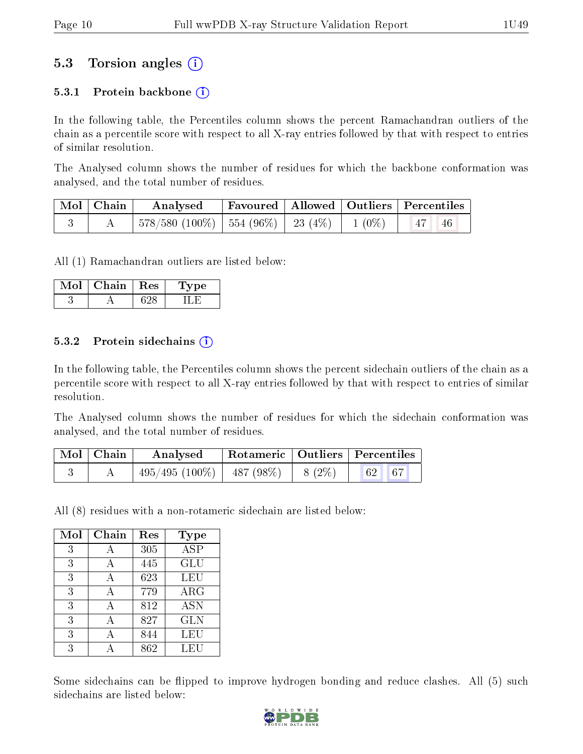### 5.3 Torsion angles (i)

#### 5.3.1 Protein backbone  $(i)$

In the following table, the Percentiles column shows the percent Ramachandran outliers of the chain as a percentile score with respect to all X-ray entries followed by that with respect to entries of similar resolution.

The Analysed column shows the number of residues for which the backbone conformation was analysed, and the total number of residues.

| $\vert$ Mol $\vert$ Chain $\vert$ | $\boldsymbol{\mathrm{Analysed}}$                                                       |  | Favoured   Allowed   Outliers   Percentiles |  |
|-----------------------------------|----------------------------------------------------------------------------------------|--|---------------------------------------------|--|
|                                   | $\mid 578/580 \ (100\%) \mid 554 \ (96\%) \mid 23 \ (4\%) \mid 1 \ (0\%) \mid 47 \ 46$ |  |                                             |  |

All (1) Ramachandran outliers are listed below:

| VIol | Chain + | $+$ Res $+$ | vpe |
|------|---------|-------------|-----|
|      |         |             |     |

#### 5.3.2 Protein sidechains  $\left( \widehat{\mathbf{i}} \right)$

In the following table, the Percentiles column shows the percent sidechain outliers of the chain as a percentile score with respect to all X-ray entries followed by that with respect to entries of similar resolution.

The Analysed column shows the number of residues for which the sidechain conformation was analysed, and the total number of residues.

| Mol   Chain | Analysed                    |          | Rotameric   Outliers   Percentiles |  |
|-------------|-----------------------------|----------|------------------------------------|--|
|             | $495/495(100\%)$ 487 (98\%) | $8(2\%)$ | 62 67                              |  |

All (8) residues with a non-rotameric sidechain are listed below:

| Mol | Chain          | Res | Type                    |
|-----|----------------|-----|-------------------------|
| 3   | $\overline{A}$ | 305 | $\overline{\text{ASP}}$ |
| 3   | А              | 445 | <b>GLU</b>              |
| 3   | А              | 623 | LEU                     |
| 3   | А              | 779 | $\rm{ARG}$              |
| 3   |                | 812 | <b>ASN</b>              |
| 3   | А              | 827 | <b>GLN</b>              |
| 3   | А              | 844 | LEU                     |
| 3   |                | 862 | LEU                     |

Some sidechains can be flipped to improve hydrogen bonding and reduce clashes. All (5) such sidechains are listed below:

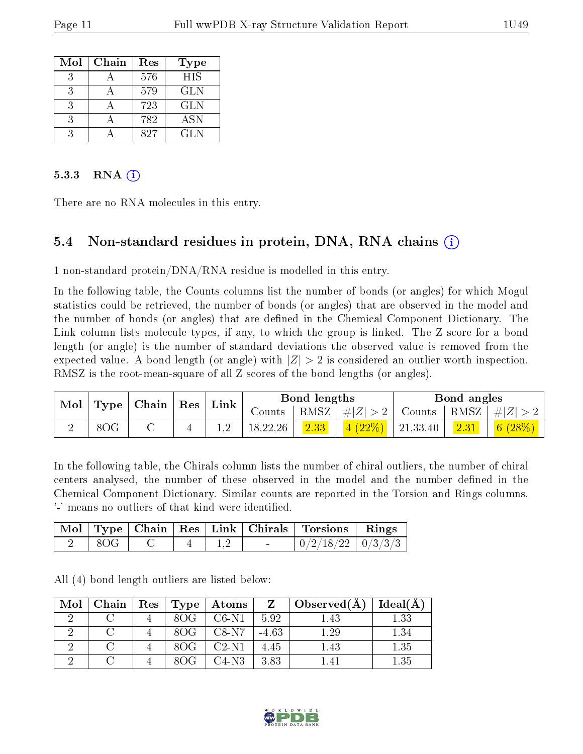| Mol | Chain | Res | <b>Type</b> |
|-----|-------|-----|-------------|
|     |       | 576 | <b>HIS</b>  |
| ર   |       | 579 | <b>GLN</b>  |
| ર   |       | 723 | <b>GLN</b>  |
|     |       | 782 | ASN         |
|     |       | 827 | GL N        |

#### $5.3.3$  RNA  $(i)$

There are no RNA molecules in this entry.

### 5.4 Non-standard residues in protein, DNA, RNA chains (i)

1 non-standard protein/DNA/RNA residue is modelled in this entry.

In the following table, the Counts columns list the number of bonds (or angles) for which Mogul statistics could be retrieved, the number of bonds (or angles) that are observed in the model and the number of bonds (or angles) that are defined in the Chemical Component Dictionary. The Link column lists molecule types, if any, to which the group is linked. The Z score for a bond length (or angle) is the number of standard deviations the observed value is removed from the expected value. A bond length (or angle) with  $|Z| > 2$  is considered an outlier worth inspection. RMSZ is the root-mean-square of all Z scores of the bond lengths (or angles).

| Mol                                |     |  |                      |          | Bond lengths       |                                           | Bond angles                                            |                             |
|------------------------------------|-----|--|----------------------|----------|--------------------|-------------------------------------------|--------------------------------------------------------|-----------------------------|
| $\Gamma$ Type   Chain   Res   Link |     |  | Counts $\frac{1}{2}$ |          | RMSZ   $\# Z  > 2$ |                                           | $\vert$ Counts $\vert$ RMSZ $\vert \#  Z  > 2$ $\vert$ |                             |
|                                    | 8OG |  |                      | 18,22,26 | 2.33               | $\left  \frac{4(22\%)}{21,33,40} \right $ | $\boxed{2.31}$                                         | $\mid 6 \ (28\%) \mid \mid$ |

In the following table, the Chirals column lists the number of chiral outliers, the number of chiral centers analysed, the number of these observed in the model and the number defined in the Chemical Component Dictionary. Similar counts are reported in the Torsion and Rings columns. '-' means no outliers of that kind were identified.

|  |  |  | Mol   Type   Chain   Res   Link   Chirals   Torsions | Rings |
|--|--|--|------------------------------------------------------|-------|
|  |  |  | $0/2/18/22$   $0/3/3/3$                              |       |

All (4) bond length outliers are listed below:

| Mol | Chain | $\text{Res}$   $\text{Type}$ | $\vert$ Atoms $\vert$ |         | $Z \mid Observed(A)$ | Ideal(A) |
|-----|-------|------------------------------|-----------------------|---------|----------------------|----------|
|     |       | 8OG                          | $C6-N1$               | 5.92    | 1.43                 | 1.33     |
|     |       | 80G                          | $C8-N7$               | $-4.63$ | $1.29\,$             | $1.34\,$ |
|     |       | 80G                          | $C2-N1$               | 4.45    | 1.43                 | $1.35\,$ |
|     |       |                              | C4-N3                 | 3.83    |                      | $1.35\,$ |

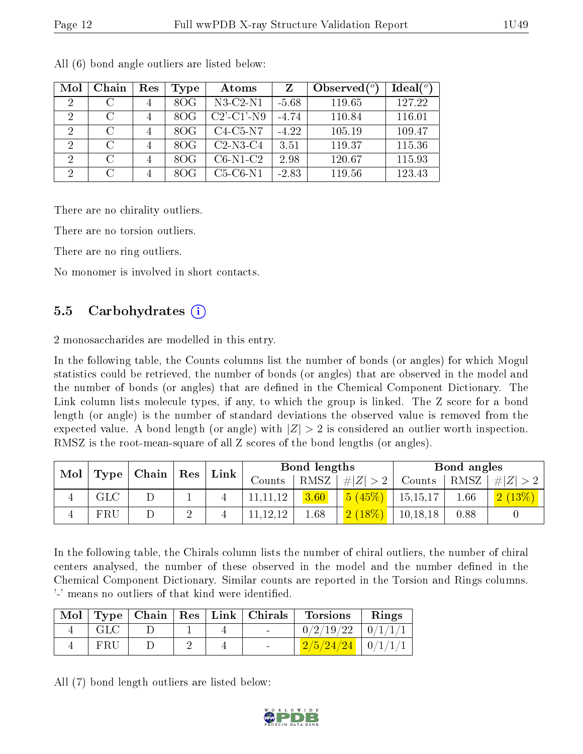| Mol                         | Chain    | Res            | Type | Atoms                | Z       | Observed $(°)$ | Ideal $(^\circ)$ |
|-----------------------------|----------|----------------|------|----------------------|---------|----------------|------------------|
| $\overline{2}$              |          | $\overline{4}$ | 8OG  | $N3-C2-N1$           | $-5.68$ | 119.65         | 127.22           |
| 2                           | C        | 4              | 8OG  | $C2'$ - $C1'$ - $N9$ | $-4.74$ | 110.84         | 116.01           |
| $\mathcal{D}_{\mathcal{A}}$ | $\cap$   | $\overline{4}$ | 8OG  | $C4-C5-N7$           | $-4.22$ | 105.19         | 109.47           |
| $\overline{2}$              | $\cap$   | $\overline{4}$ | 8OG  | $C2-N3-C4$           | 3.51    | 119.37         | 115.36           |
| 2                           | $\Gamma$ | 4              | 8OG  | $C6-N1-C2$           | 2.98    | 120.67         | 115.93           |
| 2                           | $\cap$   | 4              | 80G  | $C5-C6-N1$           | $-2.83$ | 119.56         | 123.43           |

All (6) bond angle outliers are listed below:

There are no chirality outliers.

There are no torsion outliers.

There are no ring outliers.

No monomer is involved in short contacts.

#### 5.5 Carbohydrates (i)

2 monosaccharides are modelled in this entry.

In the following table, the Counts columns list the number of bonds (or angles) for which Mogul statistics could be retrieved, the number of bonds (or angles) that are observed in the model and the number of bonds (or angles) that are dened in the Chemical Component Dictionary. The Link column lists molecule types, if any, to which the group is linked. The Z score for a bond length (or angle) is the number of standard deviations the observed value is removed from the expected value. A bond length (or angle) with  $|Z| > 2$  is considered an outlier worth inspection. RMSZ is the root-mean-square of all Z scores of the bond lengths (or angles).

| $\mid$ Chain $\mid$ Res $\mid$               |  | Link | Bond lengths |        |             | Bond angles |            |         |        |
|----------------------------------------------|--|------|--------------|--------|-------------|-------------|------------|---------|--------|
| $\parallel$ Mol $\parallel$ Type $\parallel$ |  |      | Counts       | RMSZ   | # $ Z  > 2$ | Counts      | RMSZ       | $\ E\ $ |        |
| <b>GLC</b>                                   |  |      |              |        | 3.60        | 5(45%)      | 15, 15, 17 | 0.66    | 2(13%) |
| FRU                                          |  |      |              | .12.12 | 1.68        | 2(18%)      | 10,18,18   | 0.88    |        |

In the following table, the Chirals column lists the number of chiral outliers, the number of chiral centers analysed, the number of these observed in the model and the number defined in the Chemical Component Dictionary. Similar counts are reported in the Torsion and Rings columns. '-' means no outliers of that kind were identified.

|     |  |  | Mol   Type   Chain   Res   Link   Chirals   Torsions | Rings |
|-----|--|--|------------------------------------------------------|-------|
| GLC |  |  | $0/2/19/22$   $0/1/1/1$                              |       |
| FRU |  |  | $\frac{2}{5/24/24}$   0/1/1/1                        |       |

All (7) bond length outliers are listed below:

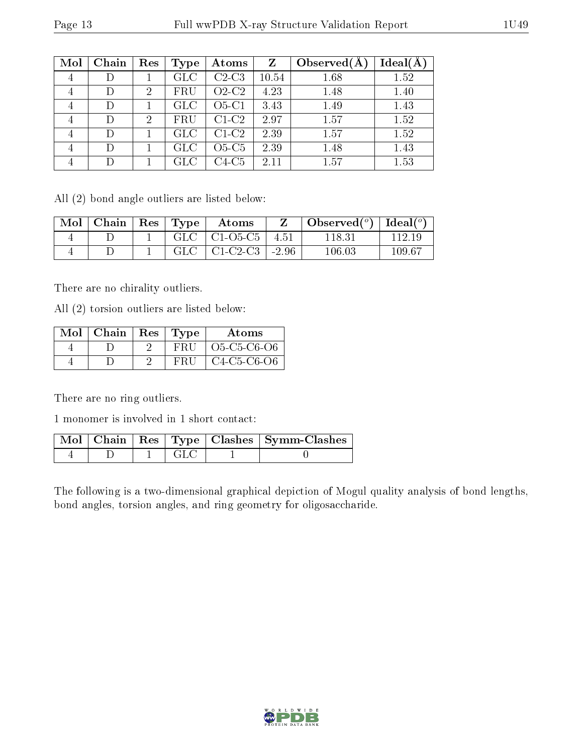| Mol            | Chain | Res           | Type              | Atoms   | Z     | Observed $(A)$ | Ideal(A |
|----------------|-------|---------------|-------------------|---------|-------|----------------|---------|
| 4              |       |               | $_{\mathrm{GLC}}$ | $C2-C3$ | 10.54 | 1.68           | 1.52    |
| 4              |       | 2             | FRU               | $O2-C2$ | 4.23  | 1.48           | 1.40    |
| $\overline{4}$ | D     |               | GLC               | $O5-C1$ | 3.43  | 1.49           | 1.43    |
| 4              |       | $\mathcal{D}$ | FRU               | $C1-C2$ | 2.97  | 1.57           | 1.52    |
| 4              | D     |               | <b>GLC</b>        | $C1-C2$ | 2.39  | 1.57           | 1.52    |
| 4              |       |               | $_{\rm GLC}$      | $O5-C5$ | 2.39  | 1.48           | 1.43    |
| $\overline{4}$ |       |               | $_{\rm GLC}$      | C4-C5   | 2.11  | 1.57           | 1.53    |

All (2) bond angle outliers are listed below:

| Mol | Chain | $\operatorname{Res}_{\bot}$ | $\Gamma$ Type | Atoms      |         | $\lambda$ Observed $(^\circ)$ | Ideal $(^\circ)$ |
|-----|-------|-----------------------------|---------------|------------|---------|-------------------------------|------------------|
|     |       |                             | GLC           | $C1-O5-C5$ | 4.51    | 118.31                        |                  |
|     |       |                             | GLC           | $C1-C2-C3$ | $-2.96$ | $106.03\,$                    | 109.67           |

There are no chirality outliers.

All (2) torsion outliers are listed below:

| $Mol$   Chain   Res   Type |           | Atoms                                                          |
|----------------------------|-----------|----------------------------------------------------------------|
|                            | $-$ FRU   | O <sub>5</sub> -C <sub>5</sub> -C <sub>6</sub> -O <sub>6</sub> |
|                            | $-$ FRIT. | $C4-C5-C6-O6$                                                  |

There are no ring outliers.

1 monomer is involved in 1 short contact:

|  |  | Mol   Chain   Res   Type   Clashes   Symm-Clashes |
|--|--|---------------------------------------------------|
|  |  |                                                   |

The following is a two-dimensional graphical depiction of Mogul quality analysis of bond lengths, bond angles, torsion angles, and ring geometry for oligosaccharide.

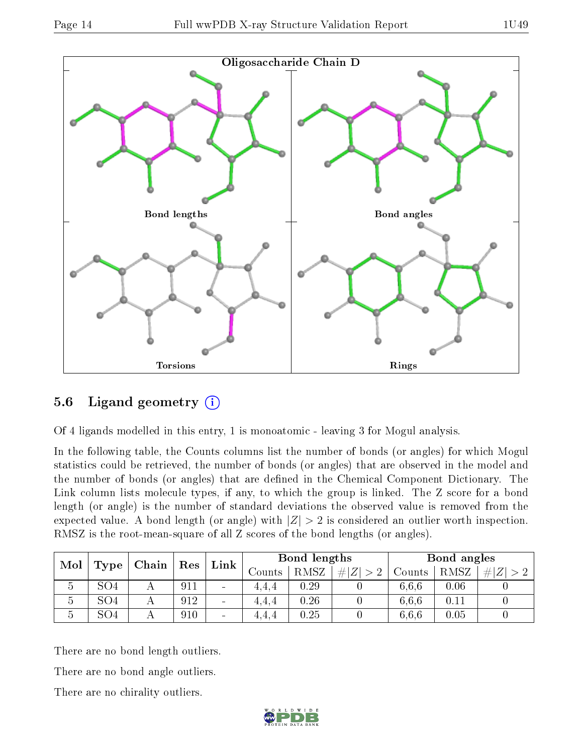



## 5.6 Ligand geometry  $(i)$

Of 4 ligands modelled in this entry, 1 is monoatomic - leaving 3 for Mogul analysis.

In the following table, the Counts columns list the number of bonds (or angles) for which Mogul statistics could be retrieved, the number of bonds (or angles) that are observed in the model and the number of bonds (or angles) that are defined in the Chemical Component Dictionary. The Link column lists molecule types, if any, to which the group is linked. The Z score for a bond length (or angle) is the number of standard deviations the observed value is removed from the expected value. A bond length (or angle) with  $|Z| > 2$  is considered an outlier worth inspection. RMSZ is the root-mean-square of all Z scores of the bond lengths (or angles).

| Mol            |                 | $\mid$ Chain | $\operatorname{Res}$ | Link                         | Bond lengths |      |            | Bond angles |          |     |
|----------------|-----------------|--------------|----------------------|------------------------------|--------------|------|------------|-------------|----------|-----|
|                | Type            |              |                      |                              | Counts-      | RMSZ | # Z <br>>2 | Counts      | RMSZ     | # Z |
| $\mathfrak{O}$ | SO <sub>4</sub> |              | 911                  | $\qquad \qquad \blacksquare$ | 4.4.4        | 0.29 |            | 6,6,6       | 0.06     |     |
| Ð              | SO <sub>4</sub> |              | 912                  | $\overline{\phantom{0}}$     | 4.4.4        | 0.26 |            | 6.6.6       | 0.11     |     |
| $\mathfrak{d}$ | SO <sub>4</sub> |              | 910                  | $\qquad \qquad \blacksquare$ | 4.4.4        | 0.25 |            | 6,6,6       | $0.05\,$ |     |

There are no bond length outliers.

There are no bond angle outliers.

There are no chirality outliers.

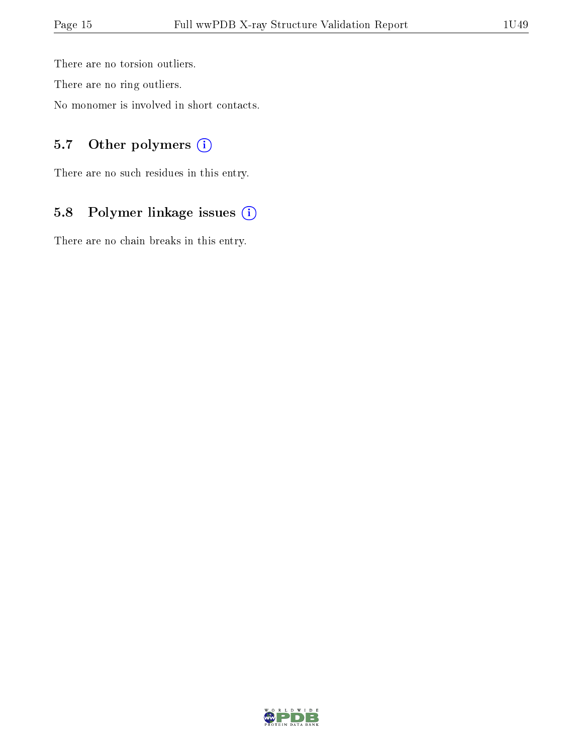There are no torsion outliers.

There are no ring outliers.

No monomer is involved in short contacts.

### 5.7 [O](https://www.wwpdb.org/validation/2017/XrayValidationReportHelp#nonstandard_residues_and_ligands)ther polymers (i)

There are no such residues in this entry.

## 5.8 Polymer linkage issues (i)

There are no chain breaks in this entry.

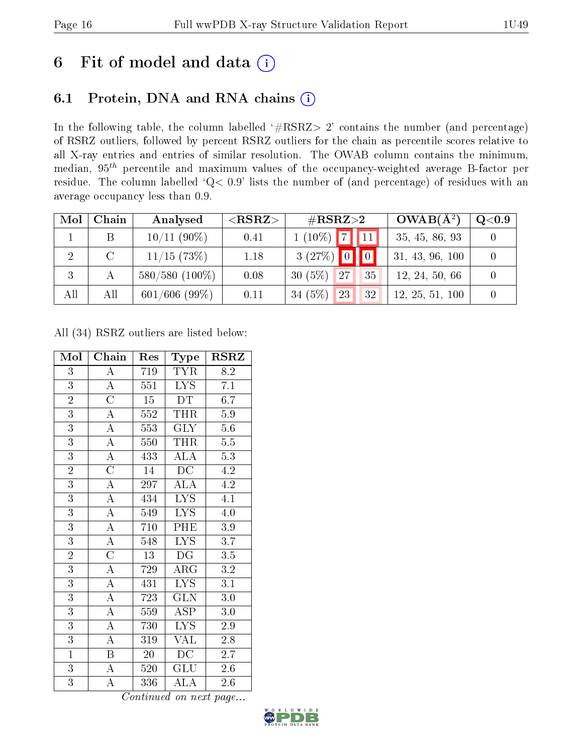## 6 Fit of model and data  $(i)$

## 6.1 Protein, DNA and RNA chains  $(i)$

In the following table, the column labelled  $#RSRZ> 2'$  contains the number (and percentage) of RSRZ outliers, followed by percent RSRZ outliers for the chain as percentile scores relative to all X-ray entries and entries of similar resolution. The OWAB column contains the minimum, median,  $95<sup>th</sup>$  percentile and maximum values of the occupancy-weighted average B-factor per residue. The column labelled ' $Q< 0.9$ ' lists the number of (and percentage) of residues with an average occupancy less than 0.9.

| Mol | Chain  | Analysed         | ${ <\hspace{-1.5pt}{\mathrm{RSRZ}} \hspace{-1.5pt}>}$ | $\#\text{RSRZ}{>}2$     | $OWAB(A^2)$     | $\rm Q\textcolor{black}{<}0.9$ |
|-----|--------|------------------|-------------------------------------------------------|-------------------------|-----------------|--------------------------------|
|     |        | $10/11(90\%)$    | 0.41                                                  | $(10\%)$ 7 11           | 35, 45, 86, 93  |                                |
| 2   | $\cap$ | $11/15$ (73\%)   | 1.18                                                  | $3(27%)$ 0              | 31, 43, 96, 100 |                                |
| 3   |        | $580/580$ (100%) | 0.08                                                  | $30(5\%)$<br> 27 <br>35 | 12, 24, 50, 66  |                                |
| All | All    | $601/606$ (99%)  | 0.11                                                  | $34(5\%)$<br>23<br>32   | 12, 25, 51, 100 |                                |

All (34) RSRZ outliers are listed below:

| Mol            | Chain                 | Res | Type                    | $\rm RSRZ$       |
|----------------|-----------------------|-----|-------------------------|------------------|
| $\overline{3}$ | A                     | 719 | <b>TYR</b>              | 8.2              |
| $\overline{3}$ | $\overline{A}$        | 551 | LYS.                    | 7.1              |
| $\overline{2}$ | $\overline{\text{C}}$ | 15  | DT                      | 6.7              |
| $\overline{3}$ | $\overline{\rm A}$    | 552 | <b>THR</b>              | $\overline{5.9}$ |
| $\overline{3}$ | $\overline{\rm A}$    | 553 | $\overline{\text{GLY}}$ | $5.6\,$          |
| $\overline{3}$ | $\overline{A}$        | 550 | <b>THR</b>              | $\overline{5.5}$ |
| $\overline{3}$ | $\overline{A}$        | 433 | $\overline{\rm ALA}$    | 5.3              |
| $\overline{2}$ | $\overline{\rm C}$    | 14  | DC                      | 4.2              |
| $\overline{3}$ | $\overline{A}$        | 297 | ${\rm ALA}$             | $\overline{4.2}$ |
| 3              | $\overline{\rm A}$    | 434 | LYS.                    | 4.1              |
| $\overline{3}$ | $\overline{\rm A}$    | 549 | $\overline{\text{LYS}}$ | $\overline{4.0}$ |
| $\overline{3}$ | $\overline{\rm A}$    | 710 | PHE                     | $3.9\,$          |
| $\overline{3}$ | $\overline{\rm A}$    | 548 | <b>LYS</b>              | $\overline{3.7}$ |
| $\overline{2}$ | $\overline{\rm C}$    | 13  | DG                      | $\overline{3.5}$ |
| $\overline{3}$ | $\overline{\rm A}$    | 729 | $\overline{\rm ARG}$    | $\overline{3.2}$ |
| $\overline{3}$ | $\overline{A}$        | 431 | $\overline{\text{LYS}}$ | $\overline{3.1}$ |
| $\overline{3}$ | $\overline{\rm A}$    | 723 | <b>GLN</b>              | 3.0              |
| $\overline{3}$ | $\overline{\rm A}$    | 559 | $\overline{\text{ASP}}$ | $3.0\,$          |
| $\overline{3}$ | $\overline{\rm A}$    | 730 | <b>LYS</b>              | $2.9\,$          |
| $\overline{3}$ | $\overline{\rm A}$    | 319 | VAL                     | 2.8              |
| $\overline{1}$ | B                     | 20  | DC                      | 2.7              |
| $\overline{3}$ | $\overline{\rm A}$    | 520 | $\overline{{\rm GLU}}$  | 2.6              |
| $\overline{3}$ | A                     | 336 | ${\rm ALA}$             | 2.6              |

Continued on next page...

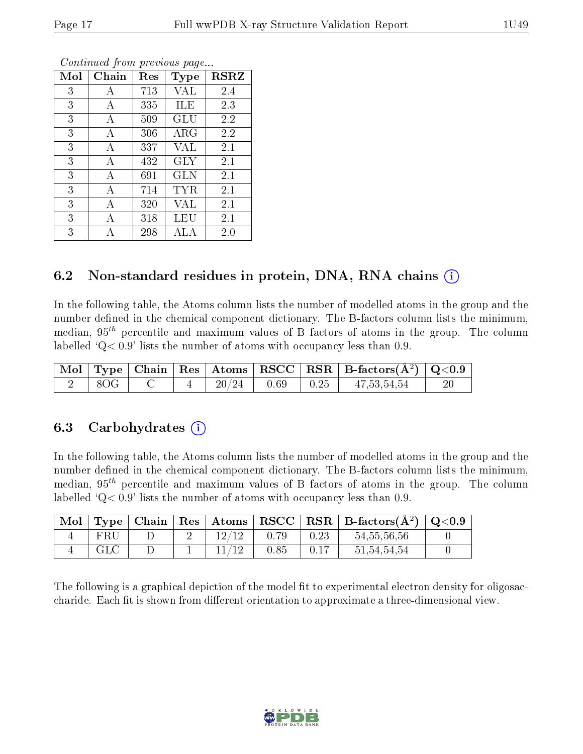| Mol | Chain | $\operatorname{Res}% \left( \mathcal{N}\right) \equiv\operatorname{Res}(\mathcal{N}_{0})\cap\mathcal{N}_{1}$ | Type        | <b>RSRZ</b> |
|-----|-------|--------------------------------------------------------------------------------------------------------------|-------------|-------------|
| 3   | А     | 713                                                                                                          | VAL         | 2.4         |
| 3   | А     | 335                                                                                                          | ILE         | 2.3         |
| 3   | A     | 509                                                                                                          | GLU         | 2.2         |
| 3   | А     | 306                                                                                                          | ${\rm ARG}$ | 2.2         |
| 3   | А     | 337                                                                                                          | VAL         | 2.1         |
| 3   | А     | 432                                                                                                          | <b>GLY</b>  | 2.1         |
| 3   | А     | 691                                                                                                          | GLN         | 2.1         |
| 3   | A     | 714                                                                                                          | TYR         | 2.1         |
| 3   | А     | 320                                                                                                          | <b>VAL</b>  | 2.1         |
| 3   | Α     | 318                                                                                                          | LEU         | 2.1         |
| 3   |       | 298                                                                                                          | ALA         | 2.0         |

Continued from previous page...

### 6.2 Non-standard residues in protein, DNA, RNA chains (i)

In the following table, the Atoms column lists the number of modelled atoms in the group and the number defined in the chemical component dictionary. The B-factors column lists the minimum, median,  $95<sup>th</sup>$  percentile and maximum values of B factors of atoms in the group. The column labelled  $Q< 0.9$  lists the number of atoms with occupancy less than 0.9.

|     |  |       |                                                                      | $\mid$ Mol $\mid$ Type $\mid$ Chain $\mid$ Res $\mid$ Atoms $\mid$ RSCC $\mid$ RSR $\mid$ B-factors( $A^2$ ) $\mid$ Q<0.9 |  |
|-----|--|-------|----------------------------------------------------------------------|---------------------------------------------------------------------------------------------------------------------------|--|
| 8OG |  | 20/24 | $\begin{array}{ c c c c c } \hline 0.69 & 0.25 \ \hline \end{array}$ | 47,53,54,54                                                                                                               |  |

#### 6.3 Carbohydrates (i)

In the following table, the Atoms column lists the number of modelled atoms in the group and the number defined in the chemical component dictionary. The B-factors column lists the minimum, median,  $95<sup>th</sup>$  percentile and maximum values of B factors of atoms in the group. The column labelled 'Q< 0.9' lists the number of atoms with occupancy less than 0.9.

| Mol |     |  |      |      | Type   Chain   Res   Atoms   RSCC   RSR   B-factors $(A^2)$ | $\mid$ Q<0.9 |
|-----|-----|--|------|------|-------------------------------------------------------------|--------------|
|     | FRU |  | 0.79 | 0.23 | 54, 55, 56, 56                                              |              |
|     | GLC |  | 0.85 | 0.17 | 51,54,54,54                                                 |              |

The following is a graphical depiction of the model fit to experimental electron density for oligosaccharide. Each fit is shown from different orientation to approximate a three-dimensional view.

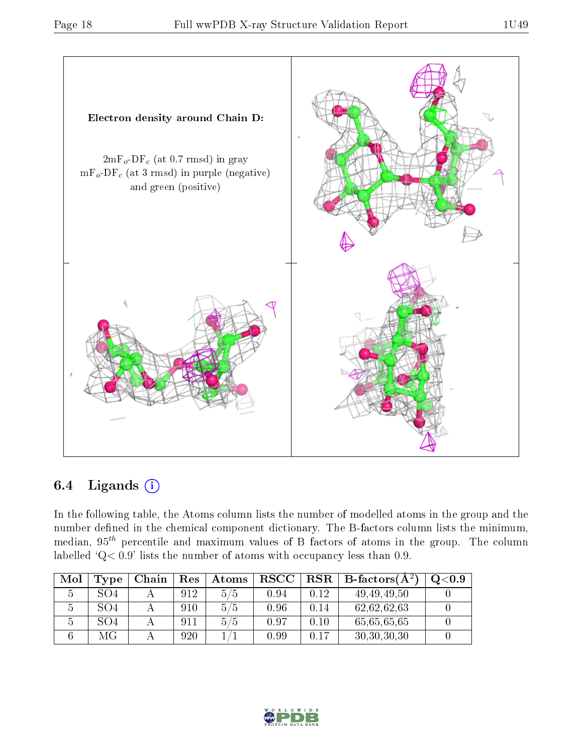

### 6.4 Ligands  $(i)$

In the following table, the Atoms column lists the number of modelled atoms in the group and the number defined in the chemical component dictionary. The B-factors column lists the minimum, median,  $95<sup>th</sup>$  percentile and maximum values of B factors of atoms in the group. The column labelled ' $Q< 0.9$ ' lists the number of atoms with occupancy less than 0.9.

| Mol | Type            | Chain | <b>Res</b> | Atoms | $_{\rm RSCC}$ | RSR  | $\mathsf{B}\text{-factors}({\mathbf{A}}^{\scriptscriptstyle {\cal Z}})$ | Q <sub>0.9</sub> |
|-----|-----------------|-------|------------|-------|---------------|------|-------------------------------------------------------------------------|------------------|
|     | SO <sub>4</sub> |       | 912        | 5/5   | 0.94          | 0.12 | 49, 49, 49, 50                                                          |                  |
|     | SO4             |       | 910        | 5/5   | 0.96          | 0.14 | 62,62,62,63                                                             |                  |
|     | SO4             |       | 911        | 5/5   | 0.97          | 0.10 | 65,65,65,65                                                             |                  |
|     | МG              |       | 920        |       | 0.99          | 0.17 | 30, 30, 30, 30                                                          |                  |